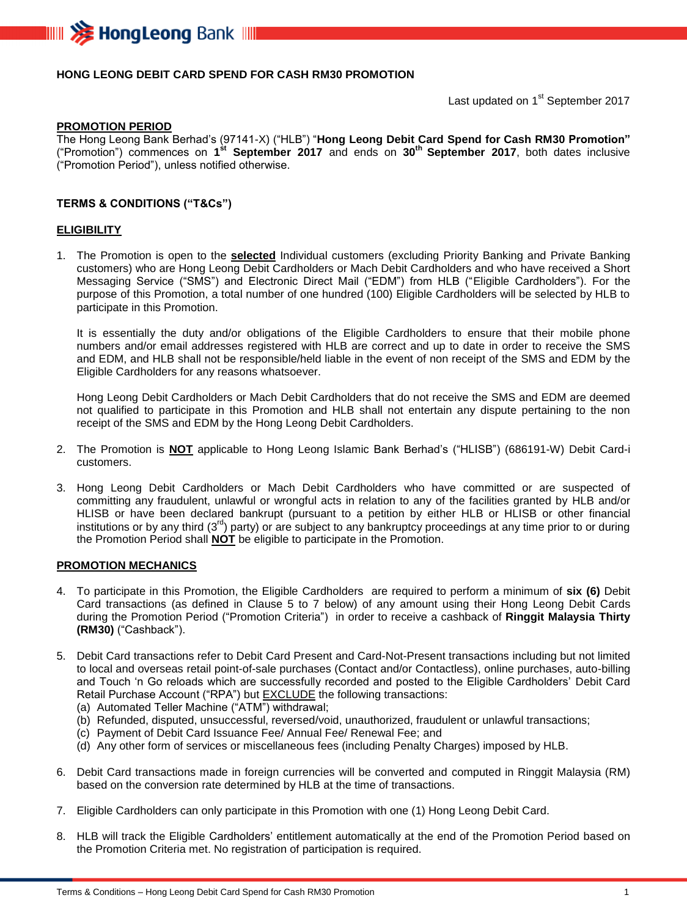

## **HONG LEONG DEBIT CARD SPEND FOR CASH RM30 PROMOTION**

Last updated on 1<sup>st</sup> September 2017

#### **PROMOTION PERIOD**

The Hong Leong Bank Berhad's (97141-X) ("HLB") "**Hong Leong Debit Card Spend for Cash RM30 Promotion"** ("Promotion") commences on **1 st September 2017** and ends on **30 th September 2017**, both dates inclusive ("Promotion Period"), unless notified otherwise.

### **TERMS & CONDITIONS ("T&Cs")**

#### **ELIGIBILITY**

1. The Promotion is open to the **selected** Individual customers (excluding Priority Banking and Private Banking customers) who are Hong Leong Debit Cardholders or Mach Debit Cardholders and who have received a Short Messaging Service ("SMS") and Electronic Direct Mail ("EDM") from HLB ("Eligible Cardholders"). For the purpose of this Promotion, a total number of one hundred (100) Eligible Cardholders will be selected by HLB to participate in this Promotion.

It is essentially the duty and/or obligations of the Eligible Cardholders to ensure that their mobile phone numbers and/or email addresses registered with HLB are correct and up to date in order to receive the SMS and EDM, and HLB shall not be responsible/held liable in the event of non receipt of the SMS and EDM by the Eligible Cardholders for any reasons whatsoever.

Hong Leong Debit Cardholders or Mach Debit Cardholders that do not receive the SMS and EDM are deemed not qualified to participate in this Promotion and HLB shall not entertain any dispute pertaining to the non receipt of the SMS and EDM by the Hong Leong Debit Cardholders.

- 2. The Promotion is **NOT** applicable to Hong Leong Islamic Bank Berhad's ("HLISB") (686191-W) Debit Card-i customers.
- 3. Hong Leong Debit Cardholders or Mach Debit Cardholders who have committed or are suspected of committing any fraudulent, unlawful or wrongful acts in relation to any of the facilities granted by HLB and/or HLISB or have been declared bankrupt (pursuant to a petition by either HLB or HLISB or other financial institutions or by any third (3<sup>rd</sup>) party) or are subject to any bankruptcy proceedings at any time prior to or during the Promotion Period shall **NOT** be eligible to participate in the Promotion.

#### **PROMOTION MECHANICS**

- 4. To participate in this Promotion, the Eligible Cardholders are required to perform a minimum of **six (6)** Debit Card transactions (as defined in Clause 5 to 7 below) of any amount using their Hong Leong Debit Cards during the Promotion Period ("Promotion Criteria") in order to receive a cashback of **Ringgit Malaysia Thirty (RM30)** ("Cashback").
- 5. Debit Card transactions refer to Debit Card Present and Card-Not-Present transactions including but not limited to local and overseas retail point-of-sale purchases (Contact and/or Contactless), online purchases, auto-billing and Touch 'n Go reloads which are successfully recorded and posted to the Eligible Cardholders' Debit Card Retail Purchase Account ("RPA") but **EXCLUDE** the following transactions:
	- (a) Automated Teller Machine ("ATM") withdrawal;
	- (b) Refunded, disputed, unsuccessful, reversed/void, unauthorized, fraudulent or unlawful transactions;
	- (c) Payment of Debit Card Issuance Fee/ Annual Fee/ Renewal Fee; and
	- (d) Any other form of services or miscellaneous fees (including Penalty Charges) imposed by HLB.
- 6. Debit Card transactions made in foreign currencies will be converted and computed in Ringgit Malaysia (RM) based on the conversion rate determined by HLB at the time of transactions.
- 7. Eligible Cardholders can only participate in this Promotion with one (1) Hong Leong Debit Card.
- 8. HLB will track the Eligible Cardholders' entitlement automatically at the end of the Promotion Period based on the Promotion Criteria met. No registration of participation is required.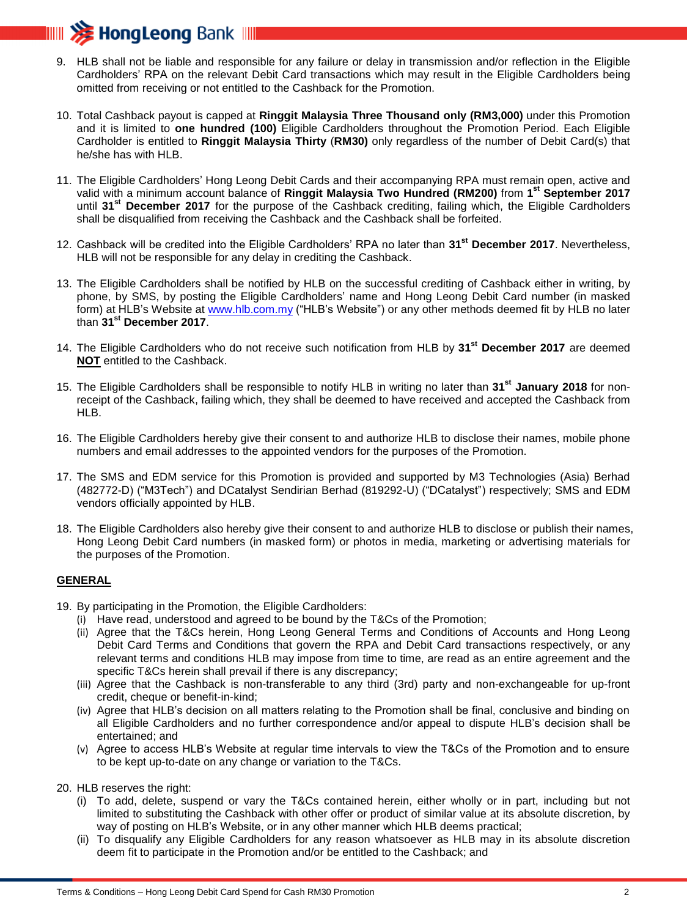

- 9. HLB shall not be liable and responsible for any failure or delay in transmission and/or reflection in the Eligible Cardholders' RPA on the relevant Debit Card transactions which may result in the Eligible Cardholders being omitted from receiving or not entitled to the Cashback for the Promotion.
- 10. Total Cashback payout is capped at **Ringgit Malaysia Three Thousand only (RM3,000)** under this Promotion and it is limited to **one hundred (100)** Eligible Cardholders throughout the Promotion Period. Each Eligible Cardholder is entitled to **Ringgit Malaysia Thirty** (**RM30)** only regardless of the number of Debit Card(s) that he/she has with HLB.
- 11. The Eligible Cardholders' Hong Leong Debit Cards and their accompanying RPA must remain open, active and valid with a minimum account balance of **Ringgit Malaysia Two Hundred (RM200)** from **1 st September 2017** until **31st December 2017** for the purpose of the Cashback crediting, failing which, the Eligible Cardholders shall be disqualified from receiving the Cashback and the Cashback shall be forfeited.
- 12. Cashback will be credited into the Eligible Cardholders' RPA no later than **31st December 2017**. Nevertheless, HLB will not be responsible for any delay in crediting the Cashback.
- 13. The Eligible Cardholders shall be notified by HLB on the successful crediting of Cashback either in writing, by phone, by SMS, by posting the Eligible Cardholders' name and Hong Leong Debit Card number (in masked form) at HLB's Website at [www.hlb.com.my](http://www.hlb.com.my/) ("HLB's Website") or any other methods deemed fit by HLB no later than **31st December 2017**.
- 14. The Eligible Cardholders who do not receive such notification from HLB by **31st December 2017** are deemed **NOT** entitled to the Cashback.
- 15. The Eligible Cardholders shall be responsible to notify HLB in writing no later than **31st January 2018** for nonreceipt of the Cashback, failing which, they shall be deemed to have received and accepted the Cashback from HLB.
- 16. The Eligible Cardholders hereby give their consent to and authorize HLB to disclose their names, mobile phone numbers and email addresses to the appointed vendors for the purposes of the Promotion.
- 17. The SMS and EDM service for this Promotion is provided and supported by M3 Technologies (Asia) Berhad (482772-D) ("M3Tech") and DCatalyst Sendirian Berhad (819292-U) ("DCatalyst") respectively; SMS and EDM vendors officially appointed by HLB.
- 18. The Eligible Cardholders also hereby give their consent to and authorize HLB to disclose or publish their names, Hong Leong Debit Card numbers (in masked form) or photos in media, marketing or advertising materials for the purposes of the Promotion.

## **GENERAL**

- 19. By participating in the Promotion, the Eligible Cardholders:
	- (i) Have read, understood and agreed to be bound by the T&Cs of the Promotion;
	- (ii) Agree that the T&Cs herein, Hong Leong General Terms and Conditions of Accounts and Hong Leong Debit Card Terms and Conditions that govern the RPA and Debit Card transactions respectively, or any relevant terms and conditions HLB may impose from time to time, are read as an entire agreement and the specific T&Cs herein shall prevail if there is any discrepancy;
	- (iii) Agree that the Cashback is non-transferable to any third (3rd) party and non-exchangeable for up-front credit, cheque or benefit-in-kind;
	- (iv) Agree that HLB's decision on all matters relating to the Promotion shall be final, conclusive and binding on all Eligible Cardholders and no further correspondence and/or appeal to dispute HLB's decision shall be entertained; and
	- (v) Agree to access HLB's Website at regular time intervals to view the T&Cs of the Promotion and to ensure to be kept up-to-date on any change or variation to the T&Cs.
- 20. HLB reserves the right:
	- (i) To add, delete, suspend or vary the T&Cs contained herein, either wholly or in part, including but not limited to substituting the Cashback with other offer or product of similar value at its absolute discretion, by way of posting on HLB's Website, or in any other manner which HLB deems practical;
	- (ii) To disqualify any Eligible Cardholders for any reason whatsoever as HLB may in its absolute discretion deem fit to participate in the Promotion and/or be entitled to the Cashback; and